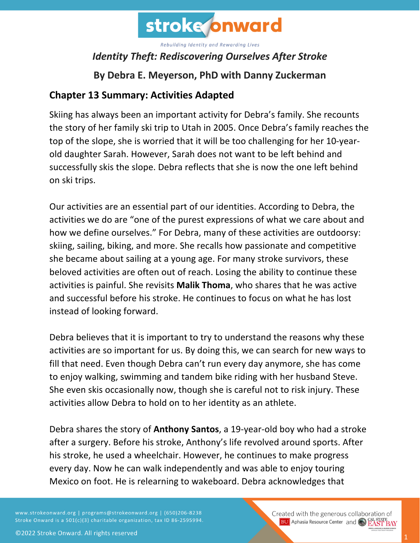

### *Identity Theft: Rediscovering Ourselves After Stroke*

# **By Debra E. Meyerson, PhD with Danny Zuckerman**

### **Chapter 13 Summary: Activities Adapted**

Skiing has always been an important activity for Debra's family. She recounts the story of her family ski trip to Utah in 2005. Once Debra's family reaches the top of the slope, she is worried that it will be too challenging for her 10-yearold daughter Sarah. However, Sarah does not want to be left behind and successfully skis the slope. Debra reflects that she is now the one left behind on ski trips.

Our activities are an essential part of our identities. According to Debra, the activities we do are "one of the purest expressions of what we care about and how we define ourselves." For Debra, many of these activities are outdoorsy: skiing, sailing, biking, and more. She recalls how passionate and competitive she became about sailing at a young age. For many stroke survivors, these beloved activities are often out of reach. Losing the ability to continue these activities is painful. She revisits **Malik Thoma**, who shares that he was active and successful before his stroke. He continues to focus on what he has lost instead of looking forward.

Debra believes that it is important to try to understand the reasons why these activities are so important for us. By doing this, we can search for new ways to fill that need. Even though Debra can't run every day anymore, she has come to enjoy walking, swimming and tandem bike riding with her husband Steve. She even skis occasionally now, though she is careful not to risk injury. These activities allow Debra to hold on to her identity as an athlete.

Debra shares the story of **Anthony Santos**, a 19-year-old boy who had a stroke after a surgery. Before his stroke, Anthony's life revolved around sports. After his stroke, he used a wheelchair. However, he continues to make progress every day. Now he can walk independently and was able to enjoy touring Mexico on foot. He is relearning to wakeboard. Debra acknowledges that

www.strokeonward.org | programs@strokeonward.org | (650)206-8238 Stroke Onward is a 501(c)(3) charitable organization, tax ID 86-2595994. Created with the generous collaboration of **BU** Aphasia Resource Center and CO **EAST BAY**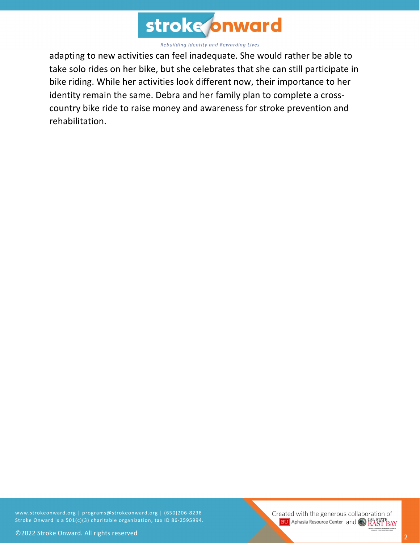

adapting to new activities can feel inadequate. She would rather be able to take solo rides on her bike, but she celebrates that she can still participate in bike riding. While her activities look different now, their importance to her identity remain the same. Debra and her family plan to complete a crosscountry bike ride to raise money and awareness for stroke prevention and rehabilitation.

www.strokeonward.org | programs@strokeonward.org | (650)206-8238 Stroke Onward is a 501(c)(3) charitable organization, tax ID 86-2595994.

Created with the generous collaboration of **BU** Aphasia Resource Center and CEAST BAY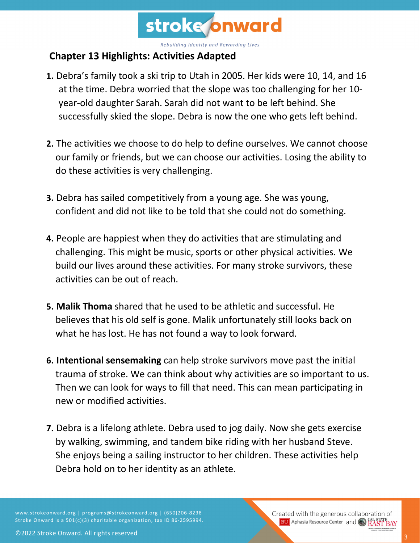

#### **Chapter 13 Highlights: Activities Adapted**

- **1.** Debra's family took a ski trip to Utah in 2005. Her kids were 10, 14, and 16 at the time. Debra worried that the slope was too challenging for her 10 year-old daughter Sarah. Sarah did not want to be left behind. She successfully skied the slope. Debra is now the one who gets left behind.
- **2.** The activities we choose to do help to define ourselves. We cannot choose our family or friends, but we can choose our activities. Losing the ability to do these activities is very challenging.
- **3.** Debra has sailed competitively from a young age. She was young, confident and did not like to be told that she could not do something.
- **4.** People are happiest when they do activities that are stimulating and challenging. This might be music, sports or other physical activities. We build our lives around these activities. For many stroke survivors, these activities can be out of reach.
- **5. Malik Thoma** shared that he used to be athletic and successful. He believes that his old self is gone. Malik unfortunately still looks back on what he has lost. He has not found a way to look forward.
- **6. Intentional sensemaking** can help stroke survivors move past the initial trauma of stroke. We can think about why activities are so important to us. Then we can look for ways to fill that need. This can mean participating in new or modified activities.
- **7.** Debra is a lifelong athlete. Debra used to jog daily. Now she gets exercise by walking, swimming, and tandem bike riding with her husband Steve. She enjoys being a sailing instructor to her children. These activities help Debra hold on to her identity as an athlete.

www.strokeonward.org | programs@strokeonward.org | (650)206-8238 Stroke Onward is a 501(c)(3) charitable organization, tax ID 86-2595994.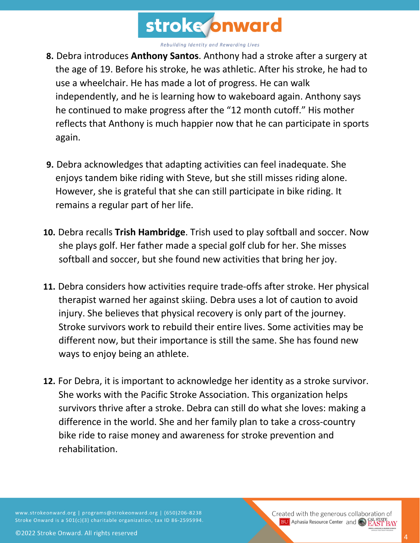

- **8.** Debra introduces **Anthony Santos**. Anthony had a stroke after a surgery at the age of 19. Before his stroke, he was athletic. After his stroke, he had to use a wheelchair. He has made a lot of progress. He can walk independently, and he is learning how to wakeboard again. Anthony says he continued to make progress after the "12 month cutoff." His mother reflects that Anthony is much happier now that he can participate in sports again.
- **9.** Debra acknowledges that adapting activities can feel inadequate. She enjoys tandem bike riding with Steve, but she still misses riding alone. However, she is grateful that she can still participate in bike riding. It remains a regular part of her life.
- **10.** Debra recalls **Trish Hambridge**. Trish used to play softball and soccer. Now she plays golf. Her father made a special golf club for her. She misses softball and soccer, but she found new activities that bring her joy.
- **11.** Debra considers how activities require trade-offs after stroke. Her physical therapist warned her against skiing. Debra uses a lot of caution to avoid injury. She believes that physical recovery is only part of the journey. Stroke survivors work to rebuild their entire lives. Some activities may be different now, but their importance is still the same. She has found new ways to enjoy being an athlete.
- **12.** For Debra, it is important to acknowledge her identity as a stroke survivor. She works with the Pacific Stroke Association. This organization helps survivors thrive after a stroke. Debra can still do what she loves: making a difference in the world. She and her family plan to take a cross-country bike ride to raise money and awareness for stroke prevention and rehabilitation.

www.strokeonward.org | programs@strokeonward.org | (650)206-8238 Stroke Onward is a 501(c)(3) charitable organization, tax ID 86-2595994. Created with the generous collaboration of **BU** Aphasia Resource Center and **CAL STATE**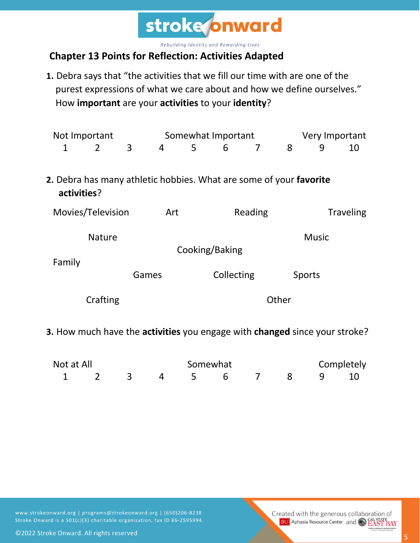

#### **Chapter 13 Points for Reflection: Activities Adapted**

**1.** Debra says that "the activities that we fill our time with are one of the purest expressions of what we care about and how we define ourselves." How **important** are your **activities** to your **identity**?

| Not Important                                                                     |                |       | Somewhat Important |   |                                |                |   | Very Important   |    |  |
|-----------------------------------------------------------------------------------|----------------|-------|--------------------|---|--------------------------------|----------------|---|------------------|----|--|
| $\mathbf{1}$                                                                      | $\overline{2}$ | 3     | $\overline{4}$     | 5 | 6                              | $\overline{7}$ | 8 | 9                | 10 |  |
| 2. Debra has many athletic hobbies. What are some of your favorite<br>activities? |                |       |                    |   |                                |                |   |                  |    |  |
| Movies/Television                                                                 |                |       | Reading<br>Art     |   |                                |                |   | <b>Traveling</b> |    |  |
|                                                                                   | <b>Nature</b>  |       |                    |   | <b>Music</b><br>Cooking/Baking |                |   |                  |    |  |
| Family                                                                            |                |       |                    |   |                                |                |   |                  |    |  |
|                                                                                   |                | Games |                    |   | Collecting                     |                |   | Sports           |    |  |
|                                                                                   | Crafting       |       |                    |   | Other                          |                |   |                  |    |  |

**3.** How much have the **activities** you engage with **changed** since your stroke?

| Not at All |  |  | Somewhat |  |  |                    | Completely |  |  |  |
|------------|--|--|----------|--|--|--------------------|------------|--|--|--|
|            |  |  |          |  |  | 2 3 4 5 6 7 8 9 10 |            |  |  |  |

www.strokeonward.org | programs@strokeonward.org | (650)206-8238 Stroke Onward is a 501(c)(3) charitable organization, tax ID 86-2595994.